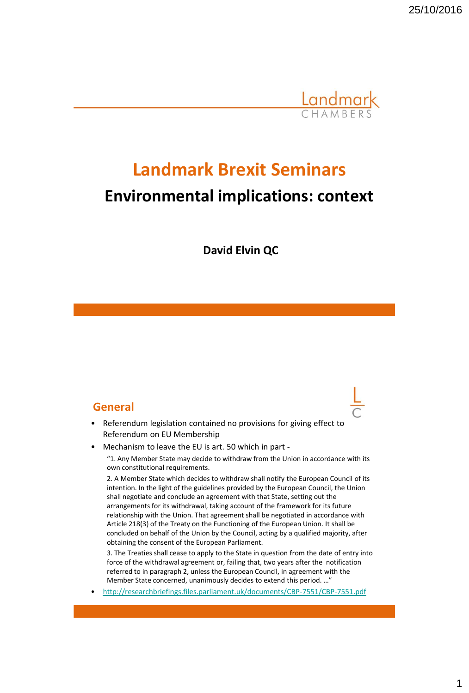

# **Landmark Brexit Seminars Environmental implications: context**

**David Elvin QC**

#### **General**

- Referendum legislation contained no provisions for giving effect to Referendum on EU Membership
- Mechanism to leave the EU is art. 50 which in part -

"1. Any Member State may decide to withdraw from the Union in accordance with its own constitutional requirements.

2. A Member State which decides to withdraw shall notify the European Council of its intention. In the light of the guidelines provided by the European Council, the Union shall negotiate and conclude an agreement with that State, setting out the arrangements for its withdrawal, taking account of the framework for its future relationship with the Union. That agreement shall be negotiated in accordance with Article 218(3) of the Treaty on the Functioning of the European Union. It shall be concluded on behalf of the Union by the Council, acting by a qualified majority, after obtaining the consent of the European Parliament.

3. The Treaties shall cease to apply to the State in question from the date of entry into force of the withdrawal agreement or, failing that, two years after the notification referred to in paragraph 2, unless the European Council, in agreement wi[t](http://researchbriefings.files.parliament.uk/documents/CBP-7551/CBP-7551.pdf)h the Member State concerned, unanimously decides to extend this period. …"

• <http://researchbriefings.files.parliament.uk/documents/CBP-7551/CBP-7551.pdf>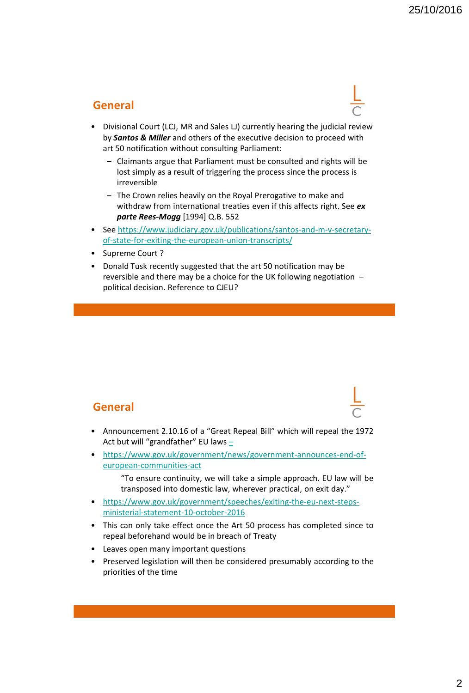# **General**

- Divisional Court (LCJ, MR and Sales LJ) currently hearing the judicial review by *Santos & Miller* and others of the executive decision to proceed with art 50 notification without consulting Parliament:
	- Claimants argue that Parliament must be consulted and rights will be lost simply as a result of triggering the process since the process is irreversible
	- The Crown relies heavily on the Royal Prerogative to make and withdraw from international treaties even if this affects right. See *ex parte Rees-Mogg* [1994] Q.B. 552
- See [https://www.judiciary.gov.uk/publications/santos-and-m-v-secretary](https://www.judiciary.gov.uk/publications/santos-and-m-v-secretary-of-state-for-exiting-the-european-union-transcripts/)[of-state-for-exiting-the-european-union-transcripts/](https://www.judiciary.gov.uk/publications/santos-and-m-v-secretary-of-state-for-exiting-the-european-union-transcripts/)
- Supreme Court ?
- Donald Tusk recently suggested that the art 50 notification may be reversible and there may be a choice for the UK following negotiation – political decision. Reference to CJEU?

## **General**

- Announcement 2.10.16 of a "Great Repeal Bill" which will repeal the 1972 Act but will "grandfather" EU laws [–](https://www.gov.uk/government/speeches/exiting-the-eu-next-steps-ministerial-statement-10-october-2016)
- [https://www.gov.uk/government/news/government-announces-end-of](https://www.gov.uk/government/news/government-announces-end-of-european-communities-act)[european-communities-act](https://www.gov.uk/government/news/government-announces-end-of-european-communities-act)
	- "To ensure continuity, we will take a simple approach. EU law will be transposed into domestic law, wherever practical, on exit day."
- [https://www.gov.uk/government/speeches/exiting-the-eu-next-steps](https://www.gov.uk/government/speeches/exiting-the-eu-next-steps-ministerial-statement-10-october-2016)[ministerial-statement-10-october-2016](https://www.gov.uk/government/speeches/exiting-the-eu-next-steps-ministerial-statement-10-october-2016)
- This can only take effect once the Art 50 process has completed since to repeal beforehand would be in breach of Treaty
- Leaves open many important questions
- Preserved legislation will then be considered presumably according to the priorities of the time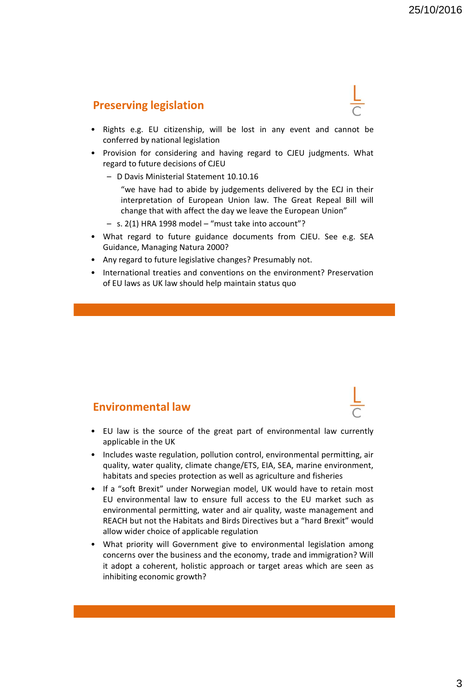### **Preserving legislation**

- Rights e.g. EU citizenship, will be lost in any event and cannot be conferred by national legislation
- Provision for considering and having regard to CJEU judgments. What regard to future decisions of CJEU
	- D Davis Ministerial Statement 10.10.16
		- "we have had to abide by judgements delivered by the ECJ in their interpretation of European Union law. The Great Repeal Bill will change that with affect the day we leave the European Union"
	- s. 2(1) HRA 1998 model "must take into account"?
- What regard to future guidance documents from CJEU. See e.g. SEA Guidance, Managing Natura 2000?
- Any regard to future legislative changes? Presumably not.
- International treaties and conventions on the environment? Preservation of EU laws as UK law should help maintain status quo

#### **Environmental law**

- EU law is the source of the great part of environmental law currently applicable in the UK
- Includes waste regulation, pollution control, environmental permitting, air quality, water quality, climate change/ETS, EIA, SEA, marine environment, habitats and species protection as well as agriculture and fisheries
- If a "soft Brexit" under Norwegian model, UK would have to retain most EU environmental law to ensure full access to the EU market such as environmental permitting, water and air quality, waste management and REACH but not the Habitats and Birds Directives but a "hard Brexit" would allow wider choice of applicable regulation
- What priority will Government give to environmental legislation among concerns over the business and the economy, trade and immigration? Will it adopt a coherent, holistic approach or target areas which are seen as inhibiting economic growth?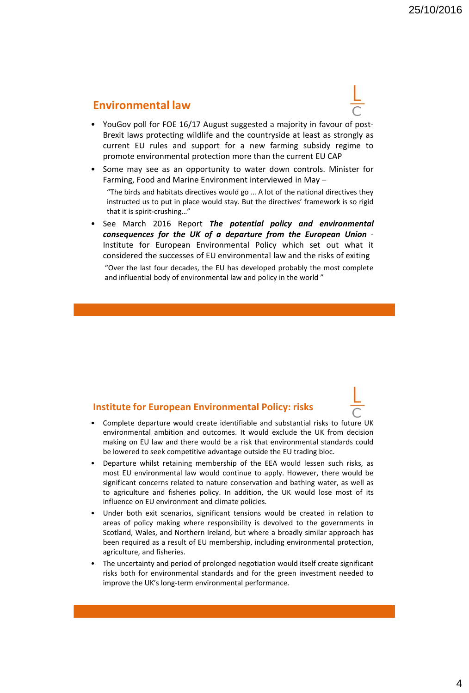#### **Environmental law**

- YouGov poll for FOE 16/17 August suggested a majority in favour of post-Brexit laws protecting wildlife and the countryside at least as strongly as current EU rules and support for a new farming subsidy regime to promote environmental protection more than the current EU CAP
- Some may see as an opportunity to water down controls. Minister for Farming, Food and Marine Environment interviewed in May – "The birds and habitats directives would go … A lot of the national directives they instructed us to put in place would stay. But the directives' framework is so rigid

that it is spirit-crushing…"

• See March 2016 Report *The potential policy and environmental consequences for the UK of a departure from the European Union* - Institute for European Environmental Policy which set out what it considered the successes of EU environmental law and the risks of exiting

"Over the last four decades, the EU has developed probably the most complete and influential body of environmental law and policy in the world "

#### **Institute for European Environmental Policy: risks**

- Complete departure would create identifiable and substantial risks to future UK environmental ambition and outcomes. It would exclude the UK from decision making on EU law and there would be a risk that environmental standards could be lowered to seek competitive advantage outside the EU trading bloc.
- Departure whilst retaining membership of the EEA would lessen such risks, as most EU environmental law would continue to apply. However, there would be significant concerns related to nature conservation and bathing water, as well as to agriculture and fisheries policy. In addition, the UK would lose most of its influence on EU environment and climate policies.
- Under both exit scenarios, significant tensions would be created in relation to areas of policy making where responsibility is devolved to the governments in Scotland, Wales, and Northern Ireland, but where a broadly similar approach has been required as a result of EU membership, including environmental protection, agriculture, and fisheries.
- The uncertainty and period of prolonged negotiation would itself create significant risks both for environmental standards and for the green investment needed to improve the UK's long-term environmental performance.